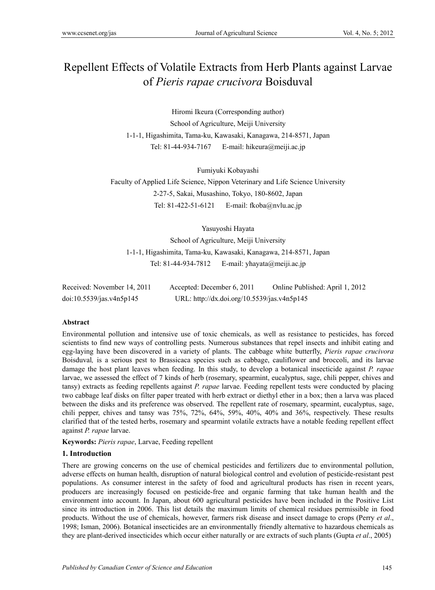# Repellent Effects of Volatile Extracts from Herb Plants against Larvae of *Pieris rapae crucivora* Boisduval

Hiromi Ikeura (Corresponding author) School of Agriculture, Meiji University 1-1-1, Higashimita, Tama-ku, Kawasaki, Kanagawa, 214-8571, Japan Tel: 81-44-934-7167 E-mail: hikeura@meiji.ac.jp

Fumiyuki Kobayashi

Faculty of Applied Life Science, Nippon Veterinary and Life Science University 2-27-5, Sakai, Musashino, Tokyo, 180-8602, Japan Tel: 81-422-51-6121 E-mail: fkoba@nvlu.ac.jp

Yasuyoshi Hayata

School of Agriculture, Meiji University 1-1-1, Higashimita, Tama-ku, Kawasaki, Kanagawa, 214-8571, Japan Tel: 81-44-934-7812 E-mail: yhayata@meiji.ac.jp

| Received: November 14, 2011 | Accepted: December 6, 2011                  | Online Published: April 1, 2012 |
|-----------------------------|---------------------------------------------|---------------------------------|
| doi:10.5539/jas.v4n5p145    | URL: http://dx.doi.org/10.5539/jas.v4n5p145 |                                 |

#### **Abstract**

Environmental pollution and intensive use of toxic chemicals, as well as resistance to pesticides, has forced scientists to find new ways of controlling pests. Numerous substances that repel insects and inhibit eating and egg-laying have been discovered in a variety of plants. The cabbage white butterfly, *Pieris rapae crucivora*  Boisduval*,* is a serious pest to Brassicaca species such as cabbage, cauliflower and broccoli, and its larvae damage the host plant leaves when feeding. In this study, to develop a botanical insecticide against *P. rapae* larvae, we assessed the effect of 7 kinds of herb (rosemary, spearmint, eucalyptus, sage, chili pepper, chives and tansy) extracts as feeding repellents against *P. rapae* larvae. Feeding repellent tests were conducted by placing two cabbage leaf disks on filter paper treated with herb extract or diethyl ether in a box; then a larva was placed between the disks and its preference was observed. The repellent rate of rosemary, spearmint, eucalyptus, sage, chili pepper, chives and tansy was 75%, 72%, 64%, 59%, 40%, 40% and 36%, respectively. These results clarified that of the tested herbs, rosemary and spearmint volatile extracts have a notable feeding repellent effect against *P. rapae* larvae.

**Keywords:** *Pieris rapae*, Larvae, Feeding repellent

#### **1. Introduction**

There are growing concerns on the use of chemical pesticides and fertilizers due to environmental pollution, adverse effects on human health, disruption of natural biological control and evolution of pesticide-resistant pest populations. As consumer interest in the safety of food and agricultural products has risen in recent years, producers are increasingly focused on pesticide-free and organic farming that take human health and the environment into account. In Japan, about 600 agricultural pesticides have been included in the Positive List since its introduction in 2006. This list details the maximum limits of chemical residues permissible in food products. Without the use of chemicals, however, farmers risk disease and insect damage to crops (Perry *et al*., 1998; Isman, 2006). Botanical insecticides are an environmentally friendly alternative to hazardous chemicals as they are plant-derived insecticides which occur either naturally or are extracts of such plants (Gupta *et al*., 2005)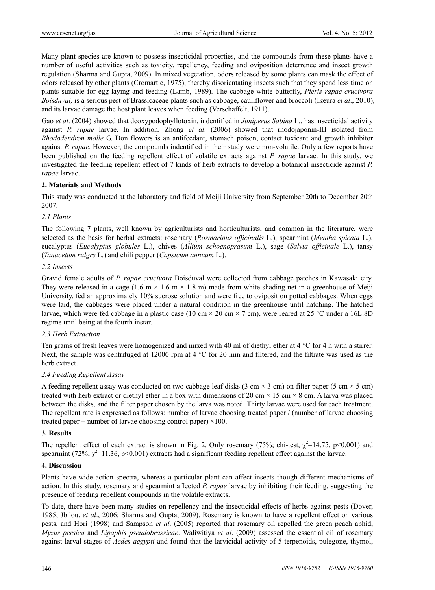Many plant species are known to possess insecticidal properties, and the compounds from these plants have a number of useful activities such as toxicity, repellency, feeding and oviposition deterrence and insect growth regulation (Sharma and Gupta, 2009). In mixed vegetation, odors released by some plants can mask the effect of odors released by other plants (Cromartie, 1975), thereby disorientating insects such that they spend less time on plants suitable for egg-laying and feeding (Lamb, 1989). The cabbage white butterfly, *Pieris rapae crucivora Boisduval,* is a serious pest of Brassicaceae plants such as cabbage, cauliflower and broccoli (Ikeura *et al*., 2010), and its larvae damage the host plant leaves when feeding (Verschaffelt, 1911).

Gao *et al*. (2004) showed that deoxypodophyllotoxin, indentified in *Juniperus Sabina* L., has insecticidal activity against *P. rapae* larvae. In addition, Zhong *et al*. (2006) showed that rhodojaponin-III isolated from *Rhododendron molle* G. Don flowers is an antifeedant, stomach poison, contact toxicant and growth inhibitor against *P. rapae*. However, the compounds indentified in their study were non-volatile. Only a few reports have been published on the feeding repellent effect of volatile extracts against *P. rapae* larvae. In this study, we investigated the feeding repellent effect of 7 kinds of herb extracts to develop a botanical insecticide against *P. rapae* larvae.

## **2. Materials and Methods**

This study was conducted at the laboratory and field of Meiji University from September 20th to December 20th 2007.

## *2.1 Plants*

The following 7 plants, well known by agriculturists and horticulturists, and common in the literature, were selected as the basis for herbal extracts: rosemary (*Rosmarinus officinalis* L.), spearmint (*Mentha spicata* L.), eucalyptus (*Eucalyptus globules* L.), chives (*Allium schoenoprasum* L.), sage (*Salvia officinale* L.), tansy (*Tanacetum rulgre* L.) and chili pepper (*Capsicum annuum* L.).

## *2.2 Insects*

Gravid female adults of *P. rapae crucivora* Boisduval were collected from cabbage patches in Kawasaki city. They were released in a cage (1.6 m  $\times$  1.6 m  $\times$  1.8 m) made from white shading net in a greenhouse of Meiji University, fed an approximately 10% sucrose solution and were free to oviposit on potted cabbages. When eggs were laid, the cabbages were placed under a natural condition in the greenhouse until hatching. The hatched larvae, which were fed cabbage in a plastic case (10 cm  $\times$  20 cm  $\times$  7 cm), were reared at 25 °C under a 16L:8D regime until being at the fourth instar.

## *2.3 Herb Extraction*

Ten grams of fresh leaves were homogenized and mixed with 40 ml of diethyl ether at 4 °C for 4 h with a stirrer. Next, the sample was centrifuged at 12000 rpm at 4 °C for 20 min and filtered, and the filtrate was used as the herb extract.

## *2.4 Feeding Repellent Assay*

A feeding repellent assay was conducted on two cabbage leaf disks (3 cm  $\times$  3 cm) on filter paper (5 cm  $\times$  5 cm) treated with herb extract or diethyl ether in a box with dimensions of 20 cm  $\times$  15 cm  $\times$  8 cm. A larva was placed between the disks, and the filter paper chosen by the larva was noted. Thirty larvae were used for each treatment. The repellent rate is expressed as follows: number of larvae choosing treated paper / (number of larvae choosing treated paper + number of larvae choosing control paper)  $\times$ 100.

## **3. Results**

The repellent effect of each extract is shown in Fig. 2. Only rosemary (75%; chi-test,  $\chi^2$ =14.75, p<0.001) and spearmint (72%;  $\chi^2$ =11.36, p<0.001) extracts had a significant feeding repellent effect against the larvae.

## **4. Discussion**

Plants have wide action spectra, whereas a particular plant can affect insects though different mechanisms of action. In this study, rosemary and spearmint affected *P. rapae* larvae by inhibiting their feeding, suggesting the presence of feeding repellent compounds in the volatile extracts.

To date, there have been many studies on repellency and the insecticidal effects of herbs against pests (Dover, 1985; Jbilou, *et al*., 2006; Sharma and Gupta, 2009). Rosemary is known to have a repellent effect on various pests, and Hori (1998) and Sampson *et al*. (2005) reported that rosemary oil repelled the green peach aphid, *Myzus persica* and *Lipaphis pseudobrassicae*. Waliwitiya *et al*. (2009) assessed the essential oil of rosemary against larval stages of *Aedes aegypti* and found that the larvicidal activity of 5 terpenoids, pulegone, thymol,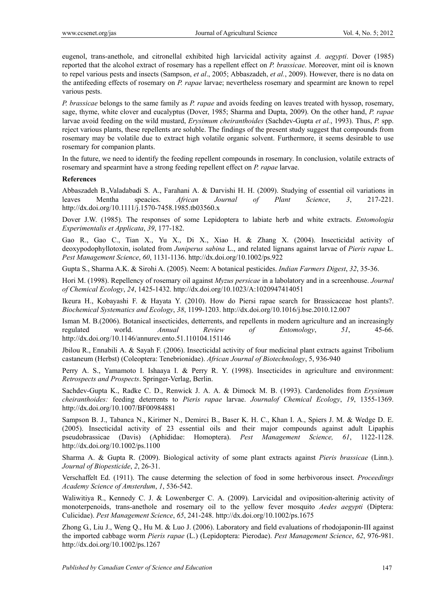eugenol, trans-anethole, and citronellal exhibited high larvicidal activity against *A. aegypti*. Dover (1985) reported that the alcohol extract of rosemary has a repellent effect on *P. brassicae*. Moreover, mint oil is known to repel various pests and insects (Sampson, *et al*., 2005; Abbaszadeh, *et al.*, 2009). However, there is no data on the antifeeding effects of rosemary on *P. rapae* larvae; nevertheless rosemary and spearmint are known to repel various pests.

*P. brassicae* belongs to the same family as *P. rapae* and avoids feeding on leaves treated with hyssop, rosemary, sage, thyme, white clover and eucalyptus (Dover, 1985; Sharma and Dupta, 2009). On the other hand, *P. rapae* larvae avoid feeding on the wild mustard, *Erysimum cheiranthoides* (Sachdev-Gupta *et al.*, 1993). Thus, *P.* spp. reject various plants, these repellents are soluble. The findings of the present study suggest that compounds from rosemary may be volatile due to extract high volatile organic solvent. Furthermore, it seems desirable to use rosemary for companion plants.

In the future, we need to identify the feeding repellent compounds in rosemary. In conclusion, volatile extracts of rosemary and spearmint have a strong feeding repellent effect on *P. rapae* larvae.

#### **References**

Abbaszadeh B.,Valadabadi S. A., Farahani A. & Darvishi H. H. (2009). Studying of essential oil variations in leaves Mentha speacies. *African Journal of Plant Science*, *3*, 217-221. http://dx.doi.org/10.1111/j.1570-7458.1985.tb03560.x

Dover J.W. (1985). The responses of some Lepidoptera to labiate herb and white extracts. *Entomologia Experimentalis et Applicata*, *39*, 177-182.

Gao R., Gao C., Tian X., Yu X., Di X., Xiao H. & Zhang X. (2004). Insecticidal activity of deoxypodophyllotoxin, isolated from *Juniperus sabina* L., and related lignans against larvae of *Pieris rapae* L. *Pest Management Science*, *60*, 1131-1136. http://dx.doi.org/10.1002/ps.922

Gupta S., Sharma A.K. & Sirohi A. (2005). Neem: A botanical pesticides. *Indian Farmers Digest*, *32*, 35-36.

Hori M. (1998). Repellency of rosemary oil against *Myzus persicae* in a labolatory and in a screenhouse. *Journal of Chemical Ecology*, *24*, 1425-1432. http://dx.doi.org/10.1023/A:1020947414051

Ikeura H., Kobayashi F. & Hayata Y. (2010). How do Piersi rapae search for Brassicaceae host plants?. *Biochemical Systematics and Ecology*, *38*, 1199-1203. http://dx.doi.org/10.1016/j.bse.2010.12.007

Isman M. B.(2006). Botanical insecticides, detterrents, and repellents in modern agriculture and an increasingly regulated world. *Annual Review of Entomology*, *51*, 45-66. http://dx.doi.org/10.1146/annurev.ento.51.110104.151146

Jbilou R., Ennabili A. & Sayah F. (2006). Insecticidal activity of four medicinal plant extracts against Tribolium castaneum (Herbst) (Coleoptera: Tenebrionidae). *African Journal of Biotechnology*, 5, 936-940

Perry A. S., Yamamoto I. Ishaaya I. & Perry R. Y. (1998). Insecticides in agriculture and environment: *Retrospects and Prospects*. Springer-Verlag, Berlin.

Sachdev-Gupta K., Radke C. D., Renwick J. A. A. & Dimock M. B. (1993). Cardenolides from *Erysimum cheiranthoides:* feeding deterrents to *Pieris rapae* larvae. *Journalof Chemical Ecology*, *19*, 1355-1369. http://dx.doi.org/10.1007/BF00984881

Sampson B. J., Tabanca N., Kirimer N., Demirci B., Baser K. H. C., Khan I. A., Spiers J. M. & Wedge D. E. (2005). Insecticidal activity of 23 essential oils and their major compounds against adult Lipaphis pseudobrassicae (Davis) (Aphididae: Homoptera). *Pest Management Science, 61*, 1122-1128. http://dx.doi.org/10.1002/ps.1100

Sharma A. & Gupta R. (2009). Biological activity of some plant extracts against *Pieris brassicae* (Linn.). *Journal of Biopesticide*, *2*, 26-31.

Verschaffelt Ed. (1911). The cause determing the selection of food in some herbivorous insect. *Proceedings Academy Science of Amsterdum*, *1*, 536-542.

Waliwitiya R., Kennedy C. J. & Lowenberger C. A. (2009). Larvicidal and oviposition-alterinig activity of monoterpenoids, trans-anethole and rosemary oil to the yellow fever mosquito *Aedes aegypti* (Diptera: Culicidae). *Pest Management Science*, *65*, 241-248. http://dx.doi.org/10.1002/ps.1675

Zhong G., Liu J., Weng Q., Hu M. & Luo J. (2006). Laboratory and field evaluations of rhodojaponin-III against the imported cabbage worm *Pieris rapae* (L.) (Lepidoptera: Pierodae). *Pest Management Science*, *62*, 976-981. http://dx.doi.org/10.1002/ps.1267